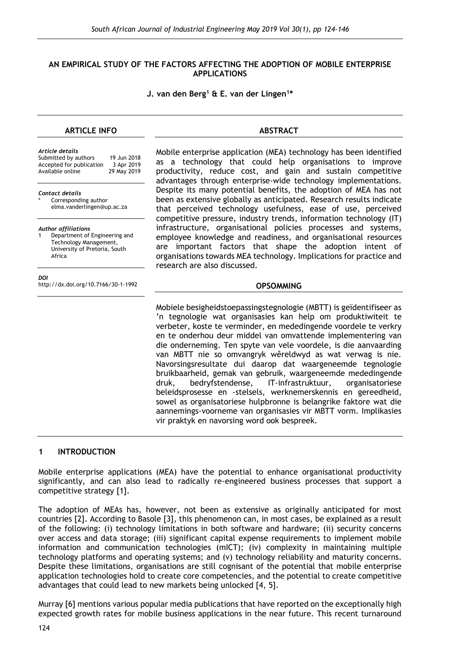### **AN EMPIRICAL STUDY OF THE FACTORS AFFECTING THE ADOPTION OF MOBILE ENTERPRISE APPLICATIONS**

#### **J. van den Berg<sup>1</sup> & E. van der Lingen<sup>1</sup> \***

### **ARTICLE INFO**

### **ABSTRACT**

*Article details* Submitted by authors 19 Jun 2018<br>Accepted for publication 3 Apr 2019 Accepted for publication 3 Apr 2019<br>Available online 29 May 2019 Available online

*Contact details* Corresponding author

elma.vanderlingen@up.ac.za

*Author affiliations*

Department of Engineering and Technology Management, University of Pretoria, South Africa

*DOI*

http://dx.doi.org/10.7166/30-1-1992

Mobile enterprise application (MEA) technology has been identified as a technology that could help organisations to improve productivity, reduce cost, and gain and sustain competitive advantages through enterprise-wide technology implementations. Despite its many potential benefits, the adoption of MEA has not been as extensive globally as anticipated. Research results indicate that perceived technology usefulness, ease of use, perceived competitive pressure, industry trends, information technology (IT) infrastructure, organisational policies processes and systems, employee knowledge and readiness, and organisational resources are important factors that shape the adoption intent of organisations towards MEA technology. Implications for practice and research are also discussed.

#### **OPSOMMING**

Mobiele besigheidstoepassingstegnologie (MBTT) is geïdentifiseer as 'n tegnologie wat organisasies kan help om produktiwiteit te verbeter, koste te verminder, en mededingende voordele te verkry en te onderhou deur middel van omvattende implementering van die onderneming. Ten spyte van vele voordele, is die aanvaarding van MBTT nie so omvangryk wêreldwyd as wat verwag is nie. Navorsingsresultate dui daarop dat waargeneemde tegnologie bruikbaarheid, gemak van gebruik, waargeneemde mededingende druk, bedryfstendense, IT-infrastruktuur, organisatoriese beleidsprosesse en -stelsels, werknemerskennis en gereedheid, sowel as organisatoriese hulpbronne is belangrike faktore wat die aannemings-voorneme van organisasies vir MBTT vorm. Implikasies vir praktyk en navorsing word ook bespreek.

### **1 INTRODUCTION**

Mobile enterprise applications (MEA) have the potential to enhance organisational productivity significantly, and can also lead to radically re-engineered business processes that support a competitive strategy [1].

The adoption of MEAs has, however, not been as extensive as originally anticipated for most countries [2]. According to Basole [3], this phenomenon can, in most cases, be explained as a result of the following: (i) technology limitations in both software and hardware; (ii) security concerns over access and data storage; (iii) significant capital expense requirements to implement mobile information and communication technologies (mICT); (iv) complexity in maintaining multiple technology platforms and operating systems; and (v) technology reliability and maturity concerns. Despite these limitations, organisations are still cognisant of the potential that mobile enterprise application technologies hold to create core competencies, and the potential to create competitive advantages that could lead to new markets being unlocked [4, 5].

Murray [6] mentions various popular media publications that have reported on the exceptionally high expected growth rates for mobile business applications in the near future. This recent turnaround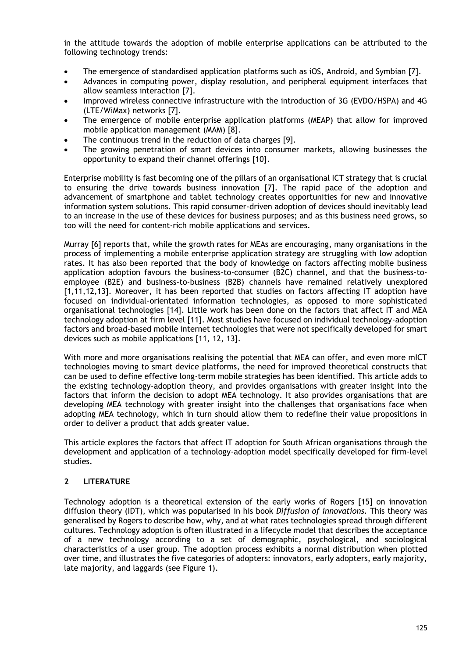in the attitude towards the adoption of mobile enterprise applications can be attributed to the following technology trends:

- The emergence of standardised application platforms such as iOS, Android, and Symbian [7].
- Advances in computing power, display resolution, and peripheral equipment interfaces that allow seamless interaction [7].
- Improved wireless connective infrastructure with the introduction of 3G (EVDO/HSPA) and 4G (LTE/WiMax) networks [7].
- The emergence of mobile enterprise application platforms (MEAP) that allow for improved mobile application management (MAM) [8].
- The continuous trend in the reduction of data charges [9].
- The growing penetration of smart devices into consumer markets, allowing businesses the opportunity to expand their channel offerings [10].

Enterprise mobility is fast becoming one of the pillars of an organisational ICT strategy that is crucial to ensuring the drive towards business innovation [7]. The rapid pace of the adoption and advancement of smartphone and tablet technology creates opportunities for new and innovative information system solutions. This rapid consumer-driven adoption of devices should inevitably lead to an increase in the use of these devices for business purposes; and as this business need grows, so too will the need for content-rich mobile applications and services.

Murray [6] reports that, while the growth rates for MEAs are encouraging, many organisations in the process of implementing a mobile enterprise application strategy are struggling with low adoption rates. It has also been reported that the body of knowledge on factors affecting mobile business application adoption favours the business-to-consumer (B2C) channel, and that the business-toemployee (B2E) and business-to-business (B2B) channels have remained relatively unexplored [1,11,12,13]. Moreover, it has been reported that studies on factors affecting IT adoption have focused on individual-orientated information technologies, as opposed to more sophisticated organisational technologies [14]. Little work has been done on the factors that affect IT and MEA technology adoption at firm level [11]. Most studies have focused on individual technology-adoption factors and broad-based mobile internet technologies that were not specifically developed for smart devices such as mobile applications [11, 12, 13].

With more and more organisations realising the potential that MEA can offer, and even more mICT technologies moving to smart device platforms, the need for improved theoretical constructs that can be used to define effective long-term mobile strategies has been identified. This article adds to the existing technology-adoption theory, and provides organisations with greater insight into the factors that inform the decision to adopt MEA technology. It also provides organisations that are developing MEA technology with greater insight into the challenges that organisations face when adopting MEA technology, which in turn should allow them to redefine their value propositions in order to deliver a product that adds greater value.

This article explores the factors that affect IT adoption for South African organisations through the development and application of a technology-adoption model specifically developed for firm-level studies.

## **2 LITERATURE**

Technology adoption is a theoretical extension of the early works of Rogers [15] on innovation diffusion theory (IDT), which was popularised in his book *Diffusion of innovations*. This theory was generalised by Rogers to describe how, why, and at what rates technologies spread through different cultures. Technology adoption is often illustrated in a lifecycle model that describes the acceptance of a new technology according to a set of demographic, psychological, and sociological characteristics of a user group. The adoption process exhibits a normal distribution when plotted over time, and illustrates the five categories of adopters: innovators, early adopters, early majority, late majority, and laggards (see Figure 1).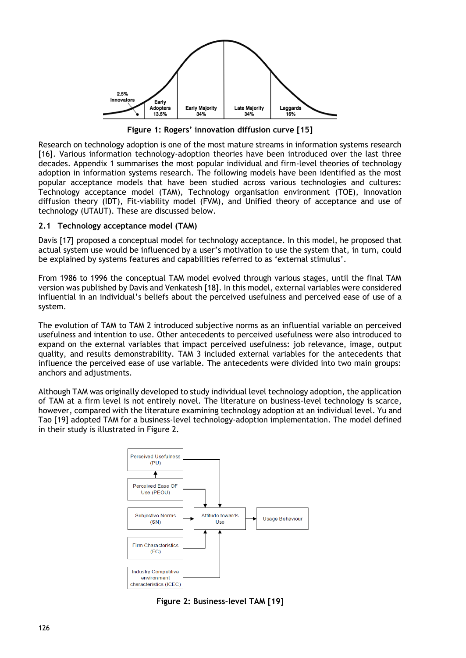

**Figure 1: Rogers' innovation diffusion curve [15]**

Research on technology adoption is one of the most mature streams in information systems research [16]. Various information technology-adoption theories have been introduced over the last three decades. Appendix 1 summarises the most popular individual and firm-level theories of technology adoption in information systems research. The following models have been identified as the most popular acceptance models that have been studied across various technologies and cultures: Technology acceptance model (TAM), Technology organisation environment (TOE), Innovation diffusion theory (IDT), Fit-viability model (FVM), and Unified theory of acceptance and use of technology (UTAUT). These are discussed below.

## **2.1 Technology acceptance model (TAM)**

Davis [17] proposed a conceptual model for technology acceptance. In this model, he proposed that actual system use would be influenced by a user's motivation to use the system that, in turn, could be explained by systems features and capabilities referred to as 'external stimulus'.

From 1986 to 1996 the conceptual TAM model evolved through various stages, until the final TAM version was published by Davis and Venkatesh [18]. In this model, external variables were considered influential in an individual's beliefs about the perceived usefulness and perceived ease of use of a system.

The evolution of TAM to TAM 2 introduced subjective norms as an influential variable on perceived usefulness and intention to use. Other antecedents to perceived usefulness were also introduced to expand on the external variables that impact perceived usefulness: job relevance, image, output quality, and results demonstrability. TAM 3 included external variables for the antecedents that influence the perceived ease of use variable. The antecedents were divided into two main groups: anchors and adjustments.

Although TAM was originally developed to study individual level technology adoption, the application of TAM at a firm level is not entirely novel. The literature on business-level technology is scarce, however, compared with the literature examining technology adoption at an individual level. Yu and Tao [19] adopted TAM for a business-level technology-adoption implementation. The model defined in their study is illustrated in Figure 2.



**Figure 2: Business-level TAM [19]**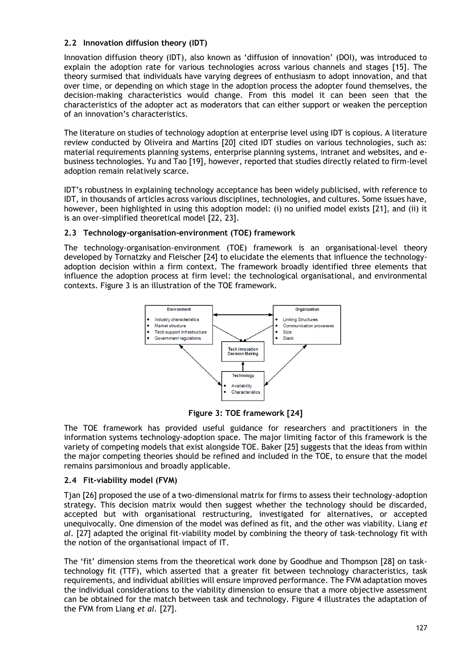## **2.2 Innovation diffusion theory (IDT)**

Innovation diffusion theory (IDT), also known as 'diffusion of innovation' (DOI), was introduced to explain the adoption rate for various technologies across various channels and stages [15]. The theory surmised that individuals have varying degrees of enthusiasm to adopt innovation, and that over time, or depending on which stage in the adoption process the adopter found themselves, the decision-making characteristics would change. From this model it can been seen that the characteristics of the adopter act as moderators that can either support or weaken the perception of an innovation's characteristics.

The literature on studies of technology adoption at enterprise level using IDT is copious. A literature review conducted by Oliveira and Martins [20] cited IDT studies on various technologies, such as: material requirements planning systems, enterprise planning systems, intranet and websites, and ebusiness technologies. Yu and Tao [19], however, reported that studies directly related to firm-level adoption remain relatively scarce.

IDT's robustness in explaining technology acceptance has been widely publicised, with reference to IDT, in thousands of articles across various disciplines, technologies, and cultures. Some issues have, however, been highlighted in using this adoption model: (i) no unified model exists [21], and (ii) it is an over-simplified theoretical model [22, 23].

## **2.3 Technology-organisation-environment (TOE) framework**

The technology-organisation-environment (TOE) framework is an organisational-level theory developed by Tornatzky and Fleischer [24] to elucidate the elements that influence the technologyadoption decision within a firm context. The framework broadly identified three elements that influence the adoption process at firm level: the technological organisational, and environmental contexts. Figure 3 is an illustration of the TOE framework.



**Figure 3: TOE framework [24]**

The TOE framework has provided useful guidance for researchers and practitioners in the information systems technology-adoption space. The major limiting factor of this framework is the variety of competing models that exist alongside TOE. Baker [25] suggests that the ideas from within the major competing theories should be refined and included in the TOE, to ensure that the model remains parsimonious and broadly applicable.

## **2.4 Fit-viability model (FVM)**

Tjan [26] proposed the use of a two-dimensional matrix for firms to assess their technology-adoption strategy. This decision matrix would then suggest whether the technology should be discarded, accepted but with organisational restructuring, investigated for alternatives, or accepted unequivocally. One dimension of the model was defined as fit, and the other was viability. Liang *et al.* [27] adapted the original fit-viability model by combining the theory of task-technology fit with the notion of the organisational impact of IT.

The 'fit' dimension stems from the theoretical work done by Goodhue and Thompson [28] on tasktechnology fit (TTF), which asserted that a greater fit between technology characteristics, task requirements, and individual abilities will ensure improved performance. The FVM adaptation moves the individual considerations to the viability dimension to ensure that a more objective assessment can be obtained for the match between task and technology. Figure 4 illustrates the adaptation of the FVM from Liang *et al.* [27].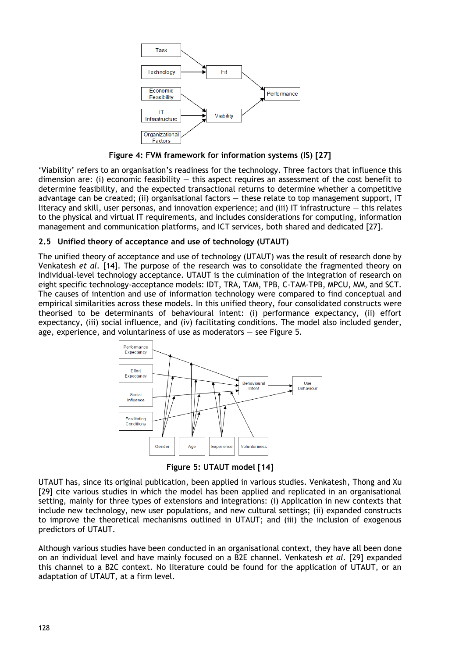

**Figure 4: FVM framework for information systems (IS) [27]**

'Viability' refers to an organisation's readiness for the technology. Three factors that influence this dimension are: (i) economic feasibility  $-$  this aspect requires an assessment of the cost benefit to determine feasibility, and the expected transactional returns to determine whether a competitive advantage can be created; (ii) organisational factors — these relate to top management support, IT literacy and skill, user personas, and innovation experience; and (iii) IT infrastructure  $-$  this relates to the physical and virtual IT requirements, and includes considerations for computing, information management and communication platforms, and ICT services, both shared and dedicated [27].

## **2.5 Unified theory of acceptance and use of technology (UTAUT)**

The unified theory of acceptance and use of technology (UTAUT) was the result of research done by Venkatesh *et al.* [14]. The purpose of the research was to consolidate the fragmented theory on individual-level technology acceptance. UTAUT is the culmination of the integration of research on eight specific technology-acceptance models: IDT, TRA, TAM, TPB, C-TAM-TPB, MPCU, MM, and SCT. The causes of intention and use of information technology were compared to find conceptual and empirical similarities across these models. In this unified theory, four consolidated constructs were theorised to be determinants of behavioural intent: (i) performance expectancy, (ii) effort expectancy, (iii) social influence, and (iv) facilitating conditions. The model also included gender, age, experience, and voluntariness of use as moderators — see Figure 5.



**Figure 5: UTAUT model [14]**

UTAUT has, since its original publication, been applied in various studies. Venkatesh, Thong and Xu [29] cite various studies in which the model has been applied and replicated in an organisational setting, mainly for three types of extensions and integrations: (i) Application in new contexts that include new technology, new user populations, and new cultural settings; (ii) expanded constructs to improve the theoretical mechanisms outlined in UTAUT; and (iii) the inclusion of exogenous predictors of UTAUT.

Although various studies have been conducted in an organisational context, they have all been done on an individual level and have mainly focused on a B2E channel. Venkatesh *et al.* [29] expanded this channel to a B2C context. No literature could be found for the application of UTAUT, or an adaptation of UTAUT, at a firm level.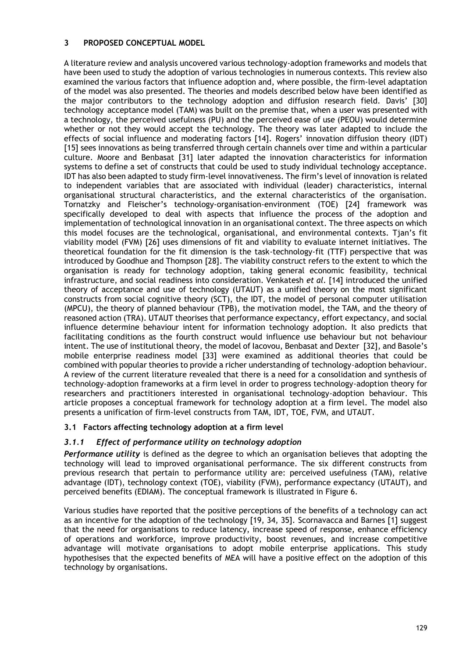### **3 PROPOSED CONCEPTUAL MODEL**

A literature review and analysis uncovered various technology-adoption frameworks and models that have been used to study the adoption of various technologies in numerous contexts. This review also examined the various factors that influence adoption and, where possible, the firm-level adaptation of the model was also presented. The theories and models described below have been identified as the major contributors to the technology adoption and diffusion research field. Davis' [30] technology acceptance model (TAM) was built on the premise that, when a user was presented with a technology, the perceived usefulness (PU) and the perceived ease of use (PEOU) would determine whether or not they would accept the technology. The theory was later adapted to include the effects of social influence and moderating factors [14]. Rogers' innovation diffusion theory (IDT) [15] sees innovations as being transferred through certain channels over time and within a particular culture. Moore and Benbasat [31] later adapted the innovation characteristics for information systems to define a set of constructs that could be used to study individual technology acceptance. IDT has also been adapted to study firm-level innovativeness. The firm's level of innovation is related to independent variables that are associated with individual (leader) characteristics, internal organisational structural characteristics, and the external characteristics of the organisation. Tornatzky and Fleischer's technology-organisation-environment (TOE) [24] framework was specifically developed to deal with aspects that influence the process of the adoption and implementation of technological innovation in an organisational context. The three aspects on which this model focuses are the technological, organisational, and environmental contexts. Tjan's fit viability model (FVM) [26] uses dimensions of fit and viability to evaluate internet initiatives. The theoretical foundation for the fit dimension is the task-technology-fit (TTF) perspective that was introduced by Goodhue and Thompson [28]. The viability construct refers to the extent to which the organisation is ready for technology adoption, taking general economic feasibility, technical infrastructure, and social readiness into consideration. Venkatesh *et al.* [14] introduced the unified theory of acceptance and use of technology (UTAUT) as a unified theory on the most significant constructs from social cognitive theory (SCT), the IDT, the model of personal computer utilisation (MPCU), the theory of planned behaviour (TPB), the motivation model, the TAM, and the theory of reasoned action (TRA). UTAUT theorises that performance expectancy, effort expectancy, and social influence determine behaviour intent for information technology adoption. It also predicts that facilitating conditions as the fourth construct would influence use behaviour but not behaviour intent. The use of institutional theory, the model of Iacovou, Benbasat and Dexter [32], and Basole's mobile enterprise readiness model [33] were examined as additional theories that could be combined with popular theories to provide a richer understanding of technology-adoption behaviour. A review of the current literature revealed that there is a need for a consolidation and synthesis of technology-adoption frameworks at a firm level in order to progress technology-adoption theory for researchers and practitioners interested in organisational technology-adoption behaviour. This article proposes a conceptual framework for technology adoption at a firm level. The model also presents a unification of firm-level constructs from TAM, IDT, TOE, FVM, and UTAUT.

## **3.1 Factors affecting technology adoption at a firm level**

## *3.1.1 Effect of performance utility on technology adoption*

*Performance utility* is defined as the degree to which an organisation believes that adopting the technology will lead to improved organisational performance. The six different constructs from previous research that pertain to performance utility are: perceived usefulness (TAM), relative advantage (IDT), technology context (TOE), viability (FVM), performance expectancy (UTAUT), and perceived benefits (EDIAM). The conceptual framework is illustrated in Figure 6.

Various studies have reported that the positive perceptions of the benefits of a technology can act as an incentive for the adoption of the technology [19, 34, 35]. Scornavacca and Barnes [1] suggest that the need for organisations to reduce latency, increase speed of response, enhance efficiency of operations and workforce, improve productivity, boost revenues, and increase competitive advantage will motivate organisations to adopt mobile enterprise applications. This study hypothesises that the expected benefits of MEA will have a positive effect on the adoption of this technology by organisations.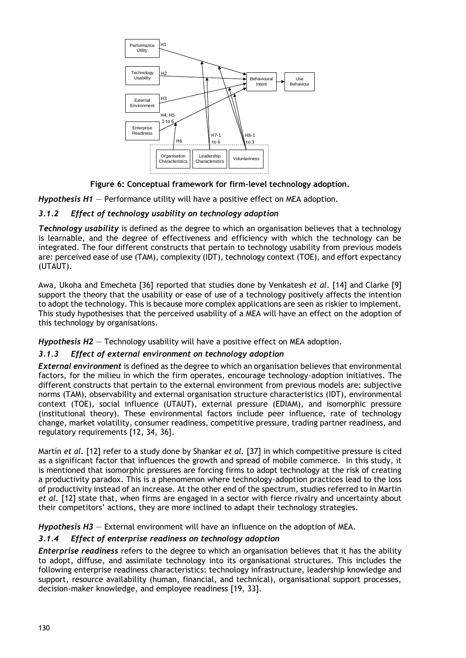

**Figure 6: Conceptual framework for firm-level technology adoption.**

*Hypothesis H1* — Performance utility will have a positive effect on MEA adoption.

## *3.1.2 Effect of technology usability on technology adoption*

*Technology usability* is defined as the degree to which an organisation believes that a technology is learnable, and the degree of effectiveness and efficiency with which the technology can be integrated. The four different constructs that pertain to technology usability from previous models are: perceived ease of use (TAM), complexity (IDT), technology context (TOE), and effort expectancy (UTAUT).

Awa, Ukoha and Emecheta [36] reported that studies done by Venkatesh *et al*. [14] and Clarke [9] support the theory that the usability or ease of use of a technology positively affects the intention to adopt the technology. This is because more complex applications are seen as riskier to implement. This study hypothesises that the perceived usability of a MEA will have an effect on the adoption of this technology by organisations.

*Hypothesis H2* — Technology usability will have a positive effect on MEA adoption.

## *3.1.3 Effect of external environment on technology adoption*

*External environment* is defined as the degree to which an organisation believes that environmental factors, for the milieu in which the firm operates, encourage technology-adoption initiatives. The different constructs that pertain to the external environment from previous models are: subjective norms (TAM), observability and external organisation structure characteristics (IDT), environmental context (TOE), social influence (UTAUT), external pressure (EDIAM), and isomorphic pressure (institutional theory). These environmental factors include peer influence, rate of technology change, market volatility, consumer readiness, competitive pressure, trading partner readiness, and regulatory requirements [12, 34, 36].

Martín *et al.* [12] refer to a study done by Shankar *et al.* [37] in which competitive pressure is cited as a significant factor that influences the growth and spread of mobile commerce. In this study, it is mentioned that isomorphic pressures are forcing firms to adopt technology at the risk of creating a productivity paradox. This is a phenomenon where technology-adoption practices lead to the loss of productivity instead of an increase. At the other end of the spectrum, studies referred to in Martin *et al.* [12] state that, when firms are engaged in a sector with fierce rivalry and uncertainty about their competitors' actions, they are more inclined to adapt their technology strategies.

*Hypothesis H3* — External environment will have an influence on the adoption of MEA.

## *3.1.4 Effect of enterprise readiness on technology adoption*

*Enterprise readiness* refers to the degree to which an organisation believes that it has the ability to adopt, diffuse, and assimilate technology into its organisational structures. This includes the following enterprise readiness characteristics: technology infrastructure, leadership knowledge and support, resource availability (human, financial, and technical), organisational support processes, decision-maker knowledge, and employee readiness [19, 33].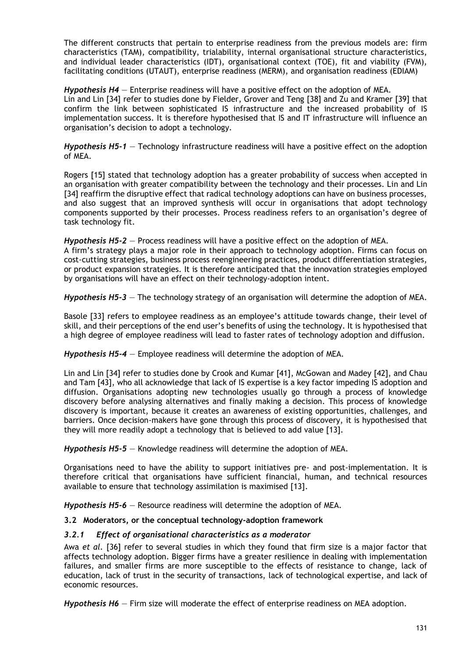The different constructs that pertain to enterprise readiness from the previous models are: firm characteristics (TAM), compatibility, trialability, internal organisational structure characteristics, and individual leader characteristics (IDT), organisational context (TOE), fit and viability (FVM), facilitating conditions (UTAUT), enterprise readiness (MERM), and organisation readiness (EDIAM)

*Hypothesis H4* — Enterprise readiness will have a positive effect on the adoption of MEA. Lin and Lin [34] refer to studies done by Fielder, Grover and Teng [38] and Zu and Kramer [39] that confirm the link between sophisticated IS infrastructure and the increased probability of IS implementation success. It is therefore hypothesised that IS and IT infrastructure will influence an organisation's decision to adopt a technology.

*Hypothesis H5-1* — Technology infrastructure readiness will have a positive effect on the adoption of MEA.

Rogers [15] stated that technology adoption has a greater probability of success when accepted in an organisation with greater compatibility between the technology and their processes. Lin and Lin [34] reaffirm the disruptive effect that radical technology adoptions can have on business processes, and also suggest that an improved synthesis will occur in organisations that adopt technology components supported by their processes. Process readiness refers to an organisation's degree of task technology fit.

*Hypothesis H5-2* — Process readiness will have a positive effect on the adoption of MEA. A firm's strategy plays a major role in their approach to technology adoption. Firms can focus on cost-cutting strategies, business process reengineering practices, product differentiation strategies, or product expansion strategies. It is therefore anticipated that the innovation strategies employed by organisations will have an effect on their technology-adoption intent.

*Hypothesis H5-3* — The technology strategy of an organisation will determine the adoption of MEA.

Basole [33] refers to employee readiness as an employee's attitude towards change, their level of skill, and their perceptions of the end user's benefits of using the technology. It is hypothesised that a high degree of employee readiness will lead to faster rates of technology adoption and diffusion.

*Hypothesis H5-4* — Employee readiness will determine the adoption of MEA.

Lin and Lin [34] refer to studies done by Crook and Kumar [41], McGowan and Madey [42], and Chau and Tam [43], who all acknowledge that lack of IS expertise is a key factor impeding IS adoption and diffusion. Organisations adopting new technologies usually go through a process of knowledge discovery before analysing alternatives and finally making a decision. This process of knowledge discovery is important, because it creates an awareness of existing opportunities, challenges, and barriers. Once decision-makers have gone through this process of discovery, it is hypothesised that they will more readily adopt a technology that is believed to add value [13].

*Hypothesis H5-5* — Knowledge readiness will determine the adoption of MEA.

Organisations need to have the ability to support initiatives pre- and post-implementation. It is therefore critical that organisations have sufficient financial, human, and technical resources available to ensure that technology assimilation is maximised [13].

*Hypothesis H5-6* — Resource readiness will determine the adoption of MEA.

### **3.2 Moderators, or the conceptual technology-adoption framework**

### *3.2.1 Effect of organisational characteristics as a moderator*

Awa *et al.* [36] refer to several studies in which they found that firm size is a major factor that affects technology adoption. Bigger firms have a greater resilience in dealing with implementation failures, and smaller firms are more susceptible to the effects of resistance to change, lack of education, lack of trust in the security of transactions, lack of technological expertise, and lack of economic resources.

*Hypothesis H6* — Firm size will moderate the effect of enterprise readiness on MEA adoption.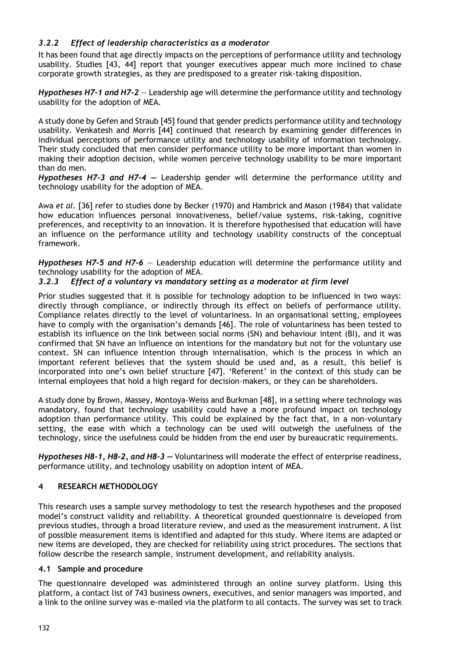## *3.2.2 Effect of leadership characteristics as a moderator*

It has been found that age directly impacts on the perceptions of performance utility and technology usability. Studies [43, 44] report that younger executives appear much more inclined to chase corporate growth strategies, as they are predisposed to a greater risk-taking disposition.

*Hypotheses H7-1 and H7-2* — Leadership age will determine the performance utility and technology usability for the adoption of MEA.

A study done by Gefen and Straub [45] found that gender predicts performance utility and technology usability. Venkatesh and Morris [44] continued that research by examining gender differences in individual perceptions of performance utility and technology usability of information technology. Their study concluded that men consider performance utility to be more important than women in making their adoption decision, while women perceive technology usability to be more important than do men.

*Hypotheses H7-3 and H7-4 —* Leadership gender will determine the performance utility and technology usability for the adoption of MEA.

Awa *et al.* [36] refer to studies done by Becker (1970) and Hambrick and Mason (1984) that validate how education influences personal innovativeness, belief/value systems, risk-taking, cognitive preferences, and receptivity to an innovation. It is therefore hypothesised that education will have an influence on the performance utility and technology usability constructs of the conceptual framework.

*Hypotheses H7-5 and H7-6* — Leadership education will determine the performance utility and technology usability for the adoption of MEA.

## *3.2.3 Effect of a voluntary vs mandatory setting as a moderator at firm level*

Prior studies suggested that it is possible for technology adoption to be influenced in two ways: directly through compliance, or indirectly through its effect on beliefs of performance utility. Compliance relates directly to the level of voluntariness. In an organisational setting, employees have to comply with the organisation's demands [46]. The role of voluntariness has been tested to establish its influence on the link between social norms (SN) and behaviour intent (BI), and it was confirmed that SN have an influence on intentions for the mandatory but not for the voluntary use context. SN can influence intention through internalisation, which is the process in which an important referent believes that the system should be used and, as a result, this belief is incorporated into one's own belief structure [47]. 'Referent' in the context of this study can be internal employees that hold a high regard for decision–makers, or they can be shareholders.

A study done by Brown, Massey, Montoya-Weiss and Burkman [48], in a setting where technology was mandatory, found that technology usability could have a more profound impact on technology adoption than performance utility. This could be explained by the fact that, in a non-voluntary setting, the ease with which a technology can be used will outweigh the usefulness of the technology, since the usefulness could be hidden from the end user by bureaucratic requirements.

*Hypotheses H8-1, H8-2, and H8-3 —* Voluntariness will moderate the effect of enterprise readiness, performance utility, and technology usability on adoption intent of MEA.

## **4 RESEARCH METHODOLOGY**

This research uses a sample survey methodology to test the research hypotheses and the proposed model's construct validity and reliability. A theoretical grounded questionnaire is developed from previous studies, through a broad literature review, and used as the measurement instrument. A list of possible measurement items is identified and adapted for this study. Where items are adapted or new items are developed, they are checked for reliability using strict procedures. The sections that follow describe the research sample, instrument development, and reliability analysis.

### **4.1 Sample and procedure**

The questionnaire developed was administered through an online survey platform. Using this platform, a contact list of 743 business owners, executives, and senior managers was imported, and a link to the online survey was e-mailed via the platform to all contacts. The survey was set to track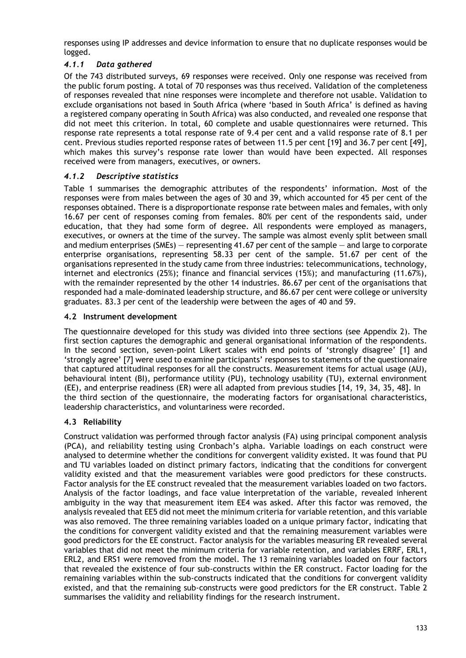responses using IP addresses and device information to ensure that no duplicate responses would be logged.

## *4.1.1 Data gathered*

Of the 743 distributed surveys, 69 responses were received. Only one response was received from the public forum posting. A total of 70 responses was thus received. Validation of the completeness of responses revealed that nine responses were incomplete and therefore not usable. Validation to exclude organisations not based in South Africa (where 'based in South Africa' is defined as having a registered company operating in South Africa) was also conducted, and revealed one response that did not meet this criterion. In total, 60 complete and usable questionnaires were returned. This response rate represents a total response rate of 9.4 per cent and a valid response rate of 8.1 per cent. Previous studies reported response rates of between 11.5 per cent [19] and 36.7 per cent [49], which makes this survey's response rate lower than would have been expected. All responses received were from managers, executives, or owners.

## *4.1.2 Descriptive statistics*

Table 1 summarises the demographic attributes of the respondents' information. Most of the responses were from males between the ages of 30 and 39, which accounted for 45 per cent of the responses obtained. There is a disproportionate response rate between males and females, with only 16.67 per cent of responses coming from females. 80% per cent of the respondents said, under education, that they had some form of degree. All respondents were employed as managers, executives, or owners at the time of the survey. The sample was almost evenly split between small and medium enterprises (SMEs) — representing 41.67 per cent of the sample — and large to corporate enterprise organisations, representing 58.33 per cent of the sample. 51.67 per cent of the organisations represented in the study came from three industries: telecommunications, technology, internet and electronics (25%); finance and financial services (15%); and manufacturing (11.67%), with the remainder represented by the other 14 industries. 86.67 per cent of the organisations that responded had a male-dominated leadership structure, and 86.67 per cent were college or university graduates. 83.3 per cent of the leadership were between the ages of 40 and 59.

## **4.2 Instrument development**

The questionnaire developed for this study was divided into three sections (see Appendix 2). The first section captures the demographic and general organisational information of the respondents. In the second section, seven-point Likert scales with end points of 'strongly disagree' [1] and 'strongly agree' [7] were used to examine participants' responses to statements of the questionnaire that captured attitudinal responses for all the constructs. Measurement items for actual usage (AU), behavioural intent (BI), performance utility (PU), technology usability (TU), external environment (EE), and enterprise readiness (ER) were all adapted from previous studies [14, 19, 34, 35, 48]. In the third section of the questionnaire, the moderating factors for organisational characteristics, leadership characteristics, and voluntariness were recorded.

## **4.3 Reliability**

Construct validation was performed through factor analysis (FA) using principal component analysis (PCA), and reliability testing using Cronbach's alpha. Variable loadings on each construct were analysed to determine whether the conditions for convergent validity existed. It was found that PU and TU variables loaded on distinct primary factors, indicating that the conditions for convergent validity existed and that the measurement variables were good predictors for these constructs. Factor analysis for the EE construct revealed that the measurement variables loaded on two factors. Analysis of the factor loadings, and face value interpretation of the variable, revealed inherent ambiguity in the way that measurement item EE4 was asked. After this factor was removed, the analysis revealed that EE5 did not meet the minimum criteria for variable retention, and this variable was also removed. The three remaining variables loaded on a unique primary factor, indicating that the conditions for convergent validity existed and that the remaining measurement variables were good predictors for the EE construct. Factor analysis for the variables measuring ER revealed several variables that did not meet the minimum criteria for variable retention, and variables ERRF, ERL1, ERL2, and ERS1 were removed from the model. The 13 remaining variables loaded on four factors that revealed the existence of four sub-constructs within the ER construct. Factor loading for the remaining variables within the sub-constructs indicated that the conditions for convergent validity existed, and that the remaining sub-constructs were good predictors for the ER construct. Table 2 summarises the validity and reliability findings for the research instrument.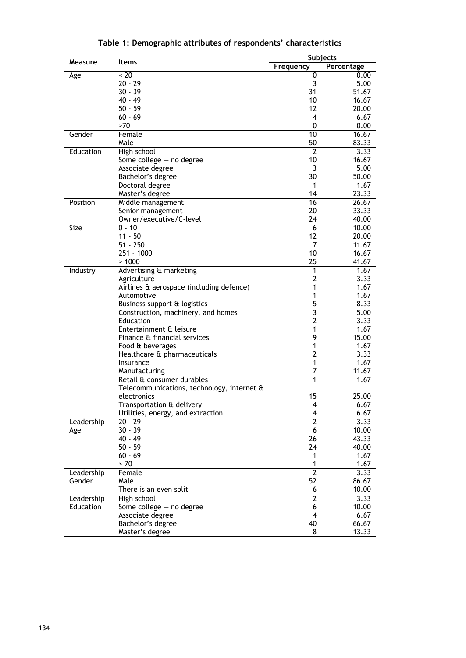|            |                                                           | <b>Subjects</b> |            |  |  |
|------------|-----------------------------------------------------------|-----------------|------------|--|--|
| Measure    | <b>Items</b>                                              | Frequency       | Percentage |  |  |
| Age        | $~<$ 20                                                   | 0               | 0.00       |  |  |
|            | $20 - 29$                                                 | 3               | 5.00       |  |  |
|            | $30 - 39$                                                 | 31              | 51.67      |  |  |
|            | 40 - 49                                                   | 10              | 16.67      |  |  |
|            | $50 - 59$                                                 | 12              | 20.00      |  |  |
|            | $60 - 69$                                                 | 4               | 6.67       |  |  |
|            | >70                                                       | 0               | 0.00       |  |  |
| Gender     | Female                                                    | 10              | 16.67      |  |  |
|            | Male                                                      | 50              | 83.33      |  |  |
| Education  | High school                                               | $\overline{2}$  | 3.33       |  |  |
|            | Some college $-$ no degree                                | 10              | 16.67      |  |  |
|            | Associate degree                                          | 3               | 5.00       |  |  |
|            | Bachelor's degree                                         | 30              | 50.00      |  |  |
|            | Doctoral degree                                           | 1               | 1.67       |  |  |
|            | Master's degree                                           | 14              | 23.33      |  |  |
| Position   | Middle management                                         | 16              | 26.67      |  |  |
|            | Senior management                                         | 20              | 33.33      |  |  |
|            | Owner/executive/C-level                                   | 24              | 40.00      |  |  |
| Size       | $0 - 10$                                                  | $\overline{6}$  | 10.00      |  |  |
|            | $11 - 50$                                                 | 12              | 20.00      |  |  |
|            | $51 - 250$                                                | 7               | 11.67      |  |  |
|            | 251 - 1000                                                | 10              | 16.67      |  |  |
|            | >1000                                                     | 25              | 41.67      |  |  |
| Industry   | Advertising & marketing                                   | 1               | 1.67       |  |  |
|            | Agriculture                                               | 2               | 3.33       |  |  |
|            | Airlines & aerospace (including defence)                  | 1               | 1.67       |  |  |
|            | Automotive                                                | 1               | 1.67       |  |  |
|            | Business support & logistics                              | 5               | 8.33       |  |  |
|            | Construction, machinery, and homes                        | 3               | 5.00       |  |  |
|            | Education                                                 | 2               | 3.33       |  |  |
|            | Entertainment & leisure                                   | 1               | 1.67       |  |  |
|            | Finance & financial services                              | 9               | 15.00      |  |  |
|            | Food & beverages                                          | 1               | 1.67       |  |  |
|            | Healthcare & pharmaceuticals                              | 2               | 3.33       |  |  |
|            | Insurance                                                 | 1<br>7          | 1.67       |  |  |
|            | Manufacturing                                             | 1               | 11.67      |  |  |
|            | Retail & consumer durables                                |                 | 1.67       |  |  |
|            | Telecommunications, technology, internet &<br>electronics | 15              | 25.00      |  |  |
|            | Transportation & delivery                                 | 4               | 6.67       |  |  |
|            | Utilities, energy, and extraction                         | 4               | 6.67       |  |  |
|            | 20 - 29                                                   | 2               | 3.33       |  |  |
| Leadership | 30 - 39                                                   | 6               | 10.00      |  |  |
| Age        | 40 - 49                                                   | 26              | 43.33      |  |  |
|            | 50 - 59                                                   | 24              | 40.00      |  |  |
|            | $60 - 69$                                                 | 1               | 1.67       |  |  |
|            | $>70$                                                     | 1               | 1.67       |  |  |
| Leadership | Female                                                    | 2               | 3.33       |  |  |
| Gender     | Male                                                      | 52              | 86.67      |  |  |
|            | There is an even split                                    | 6               | 10.00      |  |  |
| Leadership | High school                                               | 2               | 3.33       |  |  |
| Education  | Some college $-$ no degree                                | 6               | 10.00      |  |  |
|            | Associate degree                                          | 4               | 6.67       |  |  |
|            | Bachelor's degree                                         | 40              | 66.67      |  |  |
|            | Master's degree                                           | 8               | 13.33      |  |  |
|            |                                                           |                 |            |  |  |

**Table 1: Demographic attributes of respondents' characteristics**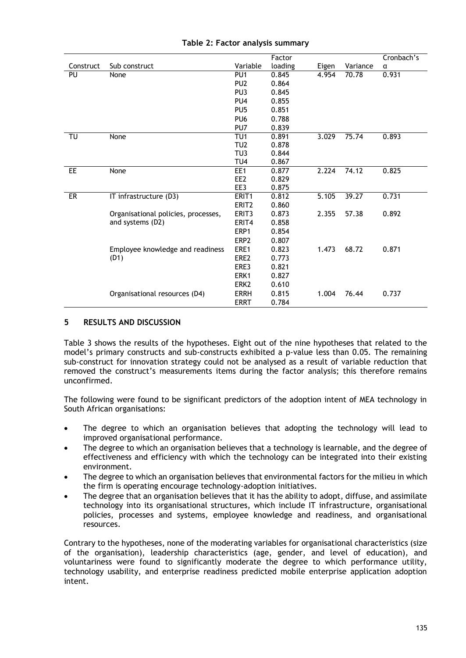|           |                                     |                   | Factor  |       |          | Cronbach's |
|-----------|-------------------------------------|-------------------|---------|-------|----------|------------|
| Construct | Sub construct                       | Variable          | loading | Eigen | Variance | α          |
| PU        | None                                | PU <sub>1</sub>   | 0.845   | 4.954 | 70.78    | 0.931      |
|           |                                     | PU <sub>2</sub>   | 0.864   |       |          |            |
|           |                                     | PU <sub>3</sub>   | 0.845   |       |          |            |
|           |                                     | PU <sub>4</sub>   | 0.855   |       |          |            |
|           |                                     | PU <sub>5</sub>   | 0.851   |       |          |            |
|           |                                     | PU <sub>6</sub>   | 0.788   |       |          |            |
|           |                                     | PU7               | 0.839   |       |          |            |
| TU        | None                                | TU <sub>1</sub>   | 0.891   | 3.029 | 75.74    | 0.893      |
|           |                                     | TU <sub>2</sub>   | 0.878   |       |          |            |
|           |                                     | TU <sub>3</sub>   | 0.844   |       |          |            |
|           |                                     | TU <sub>4</sub>   | 0.867   |       |          |            |
| EE        | None                                | EE1               | 0.877   | 2.224 | 74.12    | 0.825      |
|           |                                     | EE <sub>2</sub>   | 0.829   |       |          |            |
|           |                                     | EE3               | 0.875   |       |          |            |
| ER        | IT infrastructure (D3)              | ERIT <sub>1</sub> | 0.812   | 5.105 | 39.27    | 0.731      |
|           |                                     | ERIT <sub>2</sub> | 0.860   |       |          |            |
|           | Organisational policies, processes, | ERIT3             | 0.873   | 2.355 | 57.38    | 0.892      |
|           | and systems (D2)                    | ERIT4             | 0.858   |       |          |            |
|           |                                     | ERP1              | 0.854   |       |          |            |
|           |                                     | ERP <sub>2</sub>  | 0.807   |       |          |            |
|           | Employee knowledge and readiness    | ERE1              | 0.823   | 1.473 | 68.72    | 0.871      |
|           | (D1)                                | ERE <sub>2</sub>  | 0.773   |       |          |            |
|           |                                     | ERE3              | 0.821   |       |          |            |
|           |                                     | ERK1              | 0.827   |       |          |            |
|           |                                     | ERK <sub>2</sub>  | 0.610   |       |          |            |
|           | Organisational resources (D4)       | <b>ERRH</b>       | 0.815   | 1.004 | 76.44    | 0.737      |
|           |                                     | <b>ERRT</b>       | 0.784   |       |          |            |

## **Table 2: Factor analysis summary**

## **5 RESULTS AND DISCUSSION**

Table 3 shows the results of the hypotheses. Eight out of the nine hypotheses that related to the model's primary constructs and sub-constructs exhibited a p-value less than 0.05. The remaining sub-construct for innovation strategy could not be analysed as a result of variable reduction that removed the construct's measurements items during the factor analysis; this therefore remains unconfirmed.

The following were found to be significant predictors of the adoption intent of MEA technology in South African organisations:

- The degree to which an organisation believes that adopting the technology will lead to improved organisational performance.
- The degree to which an organisation believes that a technology is learnable, and the degree of effectiveness and efficiency with which the technology can be integrated into their existing environment.
- The degree to which an organisation believes that environmental factors for the milieu in which the firm is operating encourage technology-adoption initiatives.
- The degree that an organisation believes that it has the ability to adopt, diffuse, and assimilate technology into its organisational structures, which include IT infrastructure, organisational policies, processes and systems, employee knowledge and readiness, and organisational resources.

Contrary to the hypotheses, none of the moderating variables for organisational characteristics (size of the organisation), leadership characteristics (age, gender, and level of education), and voluntariness were found to significantly moderate the degree to which performance utility, technology usability, and enterprise readiness predicted mobile enterprise application adoption intent.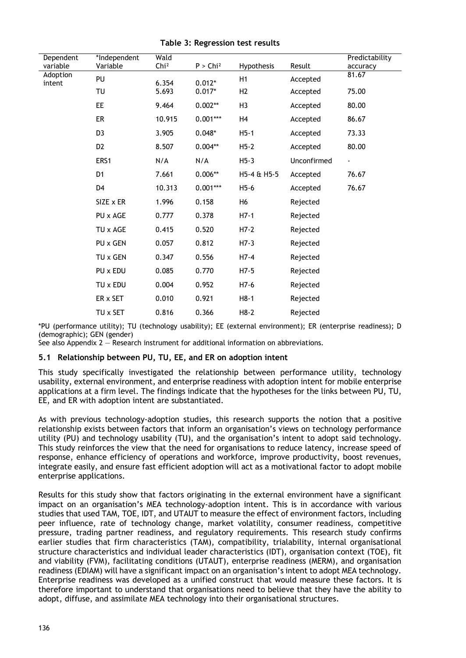| Dependent<br>variable | *Independent<br>Variable | Wald<br>Chi <sup>2</sup> | $P >$ Chi <sup>2</sup> | Hypothesis     | Result      | Predictability<br>accuracy |
|-----------------------|--------------------------|--------------------------|------------------------|----------------|-------------|----------------------------|
| Adoption<br>intent    | PU                       | 6.354                    | $0.012*$               | H1             | Accepted    | 81.67                      |
|                       | TU                       | 5.693                    | $0.017*$               | H <sub>2</sub> | Accepted    | 75.00                      |
|                       | <b>EE</b>                | 9.464                    | $0.002**$              | H <sub>3</sub> | Accepted    | 80.00                      |
|                       | <b>ER</b>                | 10.915                   | $0.001***$             | H4             | Accepted    | 86.67                      |
|                       | D <sub>3</sub>           | 3.905                    | $0.048*$               | $H5-1$         | Accepted    | 73.33                      |
|                       | D <sub>2</sub>           | 8.507                    | $0.004**$              | $H5-2$         | Accepted    | 80.00                      |
|                       | ERS1                     | N/A                      | N/A                    | $H5-3$         | Unconfirmed | $\blacksquare$             |
|                       | D <sub>1</sub>           | 7.661                    | $0.006**$              | H5-4 & H5-5    | Accepted    | 76.67                      |
|                       | D <sub>4</sub>           | 10.313                   | $0.001***$             | $H5-6$         | Accepted    | 76.67                      |
|                       | SIZE x ER                | 1.996                    | 0.158                  | H <sub>6</sub> | Rejected    |                            |
|                       | PU x AGE                 | 0.777                    | 0.378                  | $H7-1$         | Rejected    |                            |
|                       | TU x AGE                 | 0.415                    | 0.520                  | $H7-2$         | Rejected    |                            |
|                       | PU x GEN                 | 0.057                    | 0.812                  | $H7-3$         | Rejected    |                            |
|                       | TU x GEN                 | 0.347                    | 0.556                  | $H7-4$         | Rejected    |                            |
|                       | PU x EDU                 | 0.085                    | 0.770                  | $H7-5$         | Rejected    |                            |
|                       | TU x EDU                 | 0.004                    | 0.952                  | $H7-6$         | Rejected    |                            |
|                       | ER x SET                 | 0.010                    | 0.921                  | $H8-1$         | Rejected    |                            |
|                       | TU x SET                 | 0.816                    | 0.366                  | $H8-2$         | Rejected    |                            |

**Table 3: Regression test results**

\*PU (performance utility); TU (technology usability); EE (external environment); ER (enterprise readiness); D (demographic); GEN (gender)

See also Appendix 2 — Research instrument for additional information on abbreviations.

### **5.1 Relationship between PU, TU, EE, and ER on adoption intent**

This study specifically investigated the relationship between performance utility, technology usability, external environment, and enterprise readiness with adoption intent for mobile enterprise applications at a firm level. The findings indicate that the hypotheses for the links between PU, TU, EE, and ER with adoption intent are substantiated.

As with previous technology-adoption studies, this research supports the notion that a positive relationship exists between factors that inform an organisation's views on technology performance utility (PU) and technology usability (TU), and the organisation's intent to adopt said technology. This study reinforces the view that the need for organisations to reduce latency, increase speed of response, enhance efficiency of operations and workforce, improve productivity, boost revenues, integrate easily, and ensure fast efficient adoption will act as a motivational factor to adopt mobile enterprise applications.

Results for this study show that factors originating in the external environment have a significant impact on an organisation's MEA technology-adoption intent. This is in accordance with various studies that used TAM, TOE, IDT, and UTAUT to measure the effect of environment factors, including peer influence, rate of technology change, market volatility, consumer readiness, competitive pressure, trading partner readiness, and regulatory requirements. This research study confirms earlier studies that firm characteristics (TAM), compatibility, trialability, internal organisational structure characteristics and individual leader characteristics (IDT), organisation context (TOE), fit and viability (FVM), facilitating conditions (UTAUT), enterprise readiness (MERM), and organisation readiness (EDIAM) will have a significant impact on an organisation's intent to adopt MEA technology. Enterprise readiness was developed as a unified construct that would measure these factors. It is therefore important to understand that organisations need to believe that they have the ability to adopt, diffuse, and assimilate MEA technology into their organisational structures.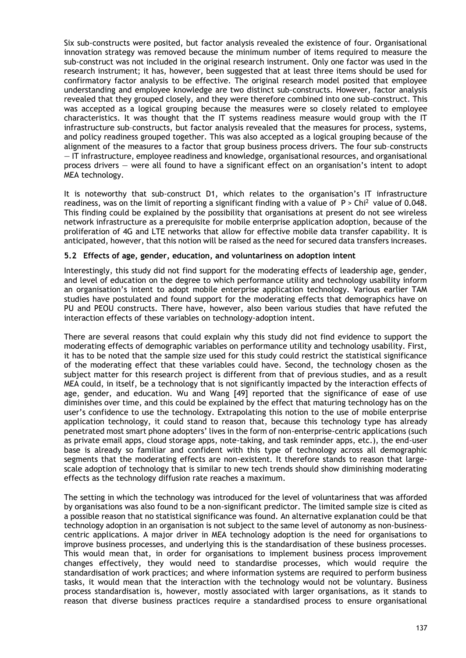Six sub-constructs were posited, but factor analysis revealed the existence of four. Organisational innovation strategy was removed because the minimum number of items required to measure the sub-construct was not included in the original research instrument. Only one factor was used in the research instrument; it has, however, been suggested that at least three items should be used for confirmatory factor analysis to be effective. The original research model posited that employee understanding and employee knowledge are two distinct sub-constructs. However, factor analysis revealed that they grouped closely, and they were therefore combined into one sub-construct. This was accepted as a logical grouping because the measures were so closely related to employee characteristics. It was thought that the IT systems readiness measure would group with the IT infrastructure sub–constructs, but factor analysis revealed that the measures for process, systems, and policy readiness grouped together. This was also accepted as a logical grouping because of the alignment of the measures to a factor that group business process drivers. The four sub–constructs — IT infrastructure, employee readiness and knowledge, organisational resources, and organisational process drivers — were all found to have a significant effect on an organisation's intent to adopt MEA technology.

It is noteworthy that sub-construct D1, which relates to the organisation's IT infrastructure readiness, was on the limit of reporting a significant finding with a value of  $P >$  Chi<sup>2</sup> value of 0.048. This finding could be explained by the possibility that organisations at present do not see wireless network infrastructure as a prerequisite for mobile enterprise application adoption, because of the proliferation of 4G and LTE networks that allow for effective mobile data transfer capability. It is anticipated, however, that this notion will be raised as the need for secured data transfers increases.

## **5.2 Effects of age, gender, education, and voluntariness on adoption intent**

Interestingly, this study did not find support for the moderating effects of leadership age, gender, and level of education on the degree to which performance utility and technology usability inform an organisation's intent to adopt mobile enterprise application technology. Various earlier TAM studies have postulated and found support for the moderating effects that demographics have on PU and PEOU constructs. There have, however, also been various studies that have refuted the interaction effects of these variables on technology-adoption intent.

There are several reasons that could explain why this study did not find evidence to support the moderating effects of demographic variables on performance utility and technology usability. First, it has to be noted that the sample size used for this study could restrict the statistical significance of the moderating effect that these variables could have. Second, the technology chosen as the subject matter for this research project is different from that of previous studies, and as a result MEA could, in itself, be a technology that is not significantly impacted by the interaction effects of age, gender, and education. Wu and Wang [49] reported that the significance of ease of use diminishes over time, and this could be explained by the effect that maturing technology has on the user's confidence to use the technology. Extrapolating this notion to the use of mobile enterprise application technology, it could stand to reason that, because this technology type has already penetrated most smart phone adopters' lives in the form of non-enterprise-centric applications (such as private email apps, cloud storage apps, note-taking, and task reminder apps, etc.), the end-user base is already so familiar and confident with this type of technology across all demographic segments that the moderating effects are non-existent. It therefore stands to reason that largescale adoption of technology that is similar to new tech trends should show diminishing moderating effects as the technology diffusion rate reaches a maximum.

The setting in which the technology was introduced for the level of voluntariness that was afforded by organisations was also found to be a non-significant predictor. The limited sample size is cited as a possible reason that no statistical significance was found. An alternative explanation could be that technology adoption in an organisation is not subject to the same level of autonomy as non-businesscentric applications. A major driver in MEA technology adoption is the need for organisations to improve business processes, and underlying this is the standardisation of these business processes. This would mean that, in order for organisations to implement business process improvement changes effectively, they would need to standardise processes, which would require the standardisation of work practices; and where information systems are required to perform business tasks, it would mean that the interaction with the technology would not be voluntary. Business process standardisation is, however, mostly associated with larger organisations, as it stands to reason that diverse business practices require a standardised process to ensure organisational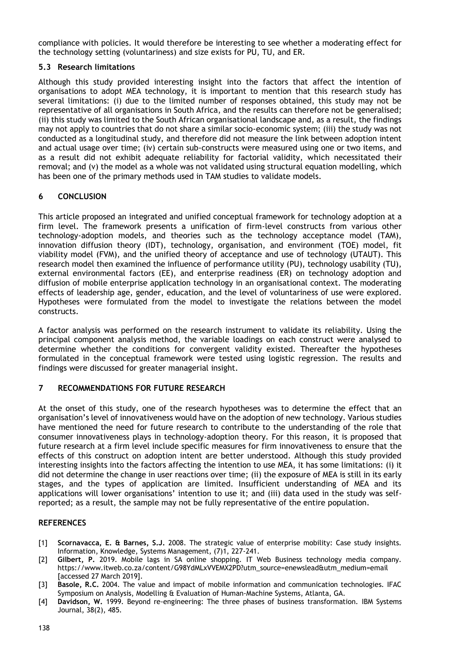compliance with policies. It would therefore be interesting to see whether a moderating effect for the technology setting (voluntariness) and size exists for PU, TU, and ER.

## **5.3 Research limitations**

Although this study provided interesting insight into the factors that affect the intention of organisations to adopt MEA technology, it is important to mention that this research study has several limitations: (i) due to the limited number of responses obtained, this study may not be representative of all organisations in South Africa, and the results can therefore not be generalised; (ii) this study was limited to the South African organisational landscape and, as a result, the findings may not apply to countries that do not share a similar socio-economic system; (iii) the study was not conducted as a longitudinal study, and therefore did not measure the link between adoption intent and actual usage over time; (iv) certain sub-constructs were measured using one or two items, and as a result did not exhibit adequate reliability for factorial validity, which necessitated their removal; and (v) the model as a whole was not validated using structural equation modelling, which has been one of the primary methods used in TAM studies to validate models.

## **6 CONCLUSION**

This article proposed an integrated and unified conceptual framework for technology adoption at a firm level. The framework presents a unification of firm-level constructs from various other technology-adoption models, and theories such as the technology acceptance model (TAM), innovation diffusion theory (IDT), technology, organisation, and environment (TOE) model, fit viability model (FVM), and the unified theory of acceptance and use of technology (UTAUT). This research model then examined the influence of performance utility (PU), technology usability (TU), external environmental factors (EE), and enterprise readiness (ER) on technology adoption and diffusion of mobile enterprise application technology in an organisational context. The moderating effects of leadership age, gender, education, and the level of voluntariness of use were explored. Hypotheses were formulated from the model to investigate the relations between the model constructs.

A factor analysis was performed on the research instrument to validate its reliability. Using the principal component analysis method, the variable loadings on each construct were analysed to determine whether the conditions for convergent validity existed. Thereafter the hypotheses formulated in the conceptual framework were tested using logistic regression. The results and findings were discussed for greater managerial insight.

### **7 RECOMMENDATIONS FOR FUTURE RESEARCH**

At the onset of this study, one of the research hypotheses was to determine the effect that an organisation's level of innovativeness would have on the adoption of new technology. Various studies have mentioned the need for future research to contribute to the understanding of the role that consumer innovativeness plays in technology-adoption theory. For this reason, it is proposed that future research at a firm level include specific measures for firm innovativeness to ensure that the effects of this construct on adoption intent are better understood. Although this study provided interesting insights into the factors affecting the intention to use MEA, it has some limitations: (i) it did not determine the change in user reactions over time; (ii) the exposure of MEA is still in its early stages, and the types of application are limited. Insufficient understanding of MEA and its applications will lower organisations' intention to use it; and (iii) data used in the study was selfreported; as a result, the sample may not be fully representative of the entire population.

### **REFERENCES**

- [1] **Scornavacca, E. & Barnes, S.J.** 2008. The strategic value of enterprise mobility: Case study insights. Information, Knowledge, Systems Management, (7)1, 227-241.
- [2] **Gilbert, P.** 2019. Mobile lags in SA online shopping. IT Web Business technology media company. https://www.itweb.co.za/content/G98YdMLxVVEMX2PD?utm\_source=enewslead&utm\_medium=email [accessed 27 March 2019].
- [3] **Basole, R.C.** 2004. The value and impact of mobile information and communication technologies. IFAC Symposium on Analysis, Modelling & Evaluation of Human-Machine Systems, Atlanta, GA.
- [4] **Davidson, W.** 1999. Beyond re-engineering: The three phases of business transformation. IBM Systems Journal, 38(2), 485.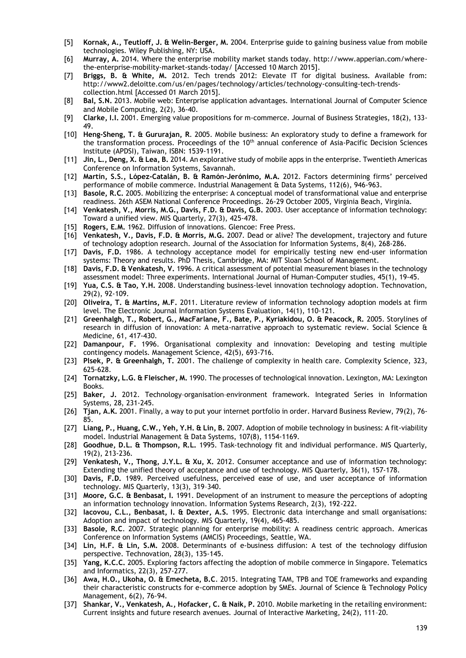- [5] **Kornak, A., Teutloff, J. & Welin-Berger, M.** 2004. Enterprise guide to gaining business value from mobile technologies. Wiley Publishing, NY: USA.
- [6] **Murray, A.** 2014. Where the enterprise mobility market stands today. http://www.apperian.com/wherethe-enterprise-mobility-market-stands-today/ [Accessed 10 March 2015].
- [7] **Briggs, B. & White, M.** 2012. Tech trends 2012: Elevate IT for digital business. Available from: http://www2.deloitte.com/us/en/pages/technology/articles/technology-consulting-tech-trendscollection.html [Accessed 01 March 2015].
- [8] **Bal, S.N.** 2013. Mobile web: Enterprise application advantages. International Journal of Computer Science and Mobile Computing, 2(2), 36-40.
- [9] **Clarke, I.I.** 2001. Emerging value propositions for m-commerce. Journal of Business Strategies, 18(2), 133- 49.
- [10] **Heng-Sheng, T. & Gururajan, R**. 2005. Mobile business: An exploratory study to define a framework for the transformation process. Proceedings of the  $10<sup>th</sup>$  annual conference of Asia-Pacific Decision Sciences Institute (APDSI), Taiwan, ISBN: 1539-1191.
- [11] **Jin, L., Deng, X. & Lea, B.** 2014. An explorative study of mobile apps in the enterprise. Twentieth Americas Conference on Information Systems, Savannah.
- [12] **Martín, S.S., López‐Catalán, B. & Ramón-Jerónimo, M.A.** 2012. Factors determining firms' perceived performance of mobile commerce. Industrial Management & Data Systems, 112(6), 946-963.
- [13] **Basole, R.C.** 2005. Mobilizing the enterprise: A conceptual model of transformational value and enterprise readiness. 26th ASEM National Conference Proceedings. 26-29 October 2005, Virginia Beach, Virginia.
- [14] **Venkatesh, V., Morris, M.G., Davis, F.D. & Davis, G.B.** 2003. User acceptance of information technology: Toward a unified view. MIS Quarterly, 27(3), 425-478.
- [15] **Rogers, E.M.** 1962. Diffusion of innovations. Glencoe: Free Press.
- [16] **Venkatesh, V., Davis, F.D. & Morris, M.G.** 2007. Dead or alive? The development, trajectory and future of technology adoption research. Journal of the Association for Information Systems, 8(4), 268-286.
- [17] **Davis, F.D.** 1986. A technology acceptance model for empirically testing new end-user information systems: Theory and results. PhD Thesis, Cambridge, MA: MIT Sloan School of Management.
- [18] **Davis, F.D. & Venkatesh, V.** 1996. A critical assessment of potential measurement biases in the technology assessment model: Three experiments. International Journal of Human-Computer studies, 45(1), 19-45.
- [19] **Yua, C.S. & Tao, Y.H.** 2008. Understanding business-level innovation technology adoption. Technovation, 29(2), 92-109.
- [20] **Oliveira, T. & Martins, M.F.** 2011. Literature review of information technology adoption models at firm level. The Electronic Journal Information Systems Evaluation, 14(1), 110-121.
- [21] **Greenhalgh, T., Robert, G., MacFarlane, F., Bate, P., Kyriakidou, O. & Peacock, R.** 2005. Storylines of research in diffusion of innovation: A meta-narrative approach to systematic review. Social Science & Medicine, 61, 417-430.
- [22] **Damanpour, F.** 1996. Organisational complexity and innovation: Developing and testing multiple contingency models. Management Science, 42(5), 693-716.
- [23] **Plsek, P. & Greenhalgh, T.** 2001. The challenge of complexity in health care. Complexity Science, 323, 625-628.
- [24] **Tornatzky, L.G. & Fleischer, M.** 1990. The processes of technological innovation. Lexington, MA: Lexington Books.
- [25] **Baker, J.** 2012. Technology–organisation–environment framework. Integrated Series in Information Systems, 28, 231-245.
- [26] **Tjan, A.K.** 2001. Finally, a way to put your internet portfolio in order. Harvard Business Review, 79(2), 76- 85.
- [27] **Liang, P., Huang, C.W., Yeh, Y.H. & Lin, B.** 2007. Adoption of mobile technology in business: A fit‐viability model. Industrial Management & Data Systems, 107(8), 1154-1169.
- [28] **Goodhue, D.L. & Thompson, R.L.** 1995. Task-technology fit and individual performance. MIS Quarterly, 19(2), 213-236.
- [29] **Venkatesh, V., Thong, J.Y.L. & Xu, X.** 2012. Consumer acceptance and use of information technology: Extending the unified theory of acceptance and use of technology. MIS Quarterly, 36(1), 157-178.
- [30] **Davis, F.D.** 1989. Perceived usefulness, perceived ease of use, and user acceptance of information technology. MIS Quarterly, 13(3), 319–340.
- [31] **Moore, G.C. & Benbasat, I.** 1991. Development of an instrument to measure the perceptions of adopting an information technology innovation. Information Systems Research, 2(3), 192-222.
- [32] **Iacovou, C.L., Benbasat, I. & Dexter, A.S.** 1995. Electronic data interchange and small organisations: Adoption and impact of technology. MIS Quarterly, 19(4), 465-485.
- [33] **Basole, R.C**. 2007. Strategic planning for enterprise mobility: A readiness centric approach. Americas Conference on Information Systems (AMCIS) Proceedings, Seattle, WA.
- [34] **Lin, H.F. & Lin, S.M.** 2008. Determinants of e-business diffusion: A test of the technology diffusion perspective. Technovation, 28(3), 135-145.
- [35] **Yang, K.C.C.** 2005. Exploring factors affecting the adoption of mobile commerce in Singapore. Telematics and Informatics, 22(3), 257-277.
- [36] **Awa, H.O., Ukoha, O. & Emecheta, B.C**. 2015. Integrating TAM, TPB and TOE frameworks and expanding their characteristic constructs for e-commerce adoption by SMEs. Journal of Science & Technology Policy Management, 6(2), 76-94.
- [37] **Shankar, V., Venkatesh, A., Hofacker, C. & Naik, P.** 2010. Mobile marketing in the retailing environment: Current insights and future research avenues. Journal of Interactive Marketing, 24(2), 111–20.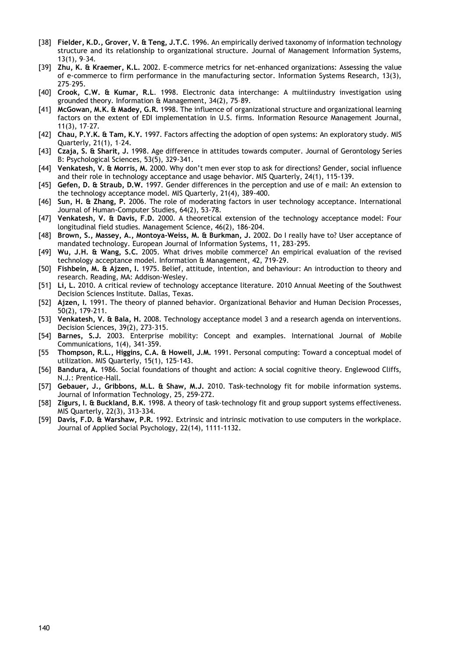- [38] **Fielder, K.D., Grover, V. & Teng, J.T.C**. 1996. An empirically derived taxonomy of information technology structure and its relationship to organizational structure. Journal of Management Information Systems, 13(1), 9–34.
- [39] **Zhu, K. & Kraemer, K.L.** 2002. E-commerce metrics for net-enhanced organizations: Assessing the value of e-commerce to firm performance in the manufacturing sector. Information Systems Research, 13(3), 275–295.
- [40] **Crook, C.W. & Kumar, R.L**. 1998. Electronic data interchange: A multiindustry investigation using grounded theory. Information & Management, 34(2), 75–89.
- [41] **McGowan, M.K. & Madey, G.R.** 1998. The influence of organizational structure and organizational learning factors on the extent of EDI implementation in U.S. firms. Information Resource Management Journal, 11(3), 17–27.
- [42] **Chau, P.Y.K. & Tam, K.Y.** 1997. Factors affecting the adoption of open systems: An exploratory study. MIS Quarterly, 21(1), 1–24.
- [43] **Czaja, S. & Sharit, J.** 1998. Age difference in attitudes towards computer. Journal of Gerontology Series B: Psychological Sciences, 53(5), 329-341.
- [44] **Venkatesh, V. & Morris, M.** 2000. Why don't men ever stop to ask for directions? Gender, social influence and their role in technology acceptance and usage behavior. MIS Quarterly, 24(1), 115-139.
- [45] **Gefen, D. & Straub, D.W.** 1997. Gender differences in the perception and use of e mail: An extension to the technology acceptance model. MIS Quarterly, 21(4), 389-400.
- [46] **Sun, H. & Zhang, P.** 2006. The role of moderating factors in user technology acceptance. International Journal of Human-Computer Studies, 64(2), 53-78.
- [47] **Venkatesh, V. & Davis, F.D.** 2000. A theoretical extension of the technology acceptance model: Four longitudinal field studies. Management Science, 46(2), 186-204.
- [48] **Brown, S., Massey, A., Montoya-Weiss, M. & Burkman, J.** 2002. Do I really have to? User acceptance of mandated technology. European Journal of Information Systems, 11, 283-295.
- [49] **Wu, J.H. & Wang, S.C.** 2005. What drives mobile commerce? An empirical evaluation of the revised technology acceptance model. Information & Management, 42, 719-29.
- [50] **Fishbein, M. & Ajzen, I.** 1975. Belief, attitude, intention, and behaviour: An introduction to theory and research. Reading, MA: Addison-Wesley.
- [51] **Li, L.** 2010. A critical review of technology acceptance literature. 2010 Annual Meeting of the Southwest Decision Sciences Institute. Dallas, Texas.
- [52] **Ajzen, I.** 1991. The theory of planned behavior. Organizational Behavior and Human Decision Processes, 50(2), 179-211.
- [53] **Venkatesh, V. & Bala, H.** 2008. Technology acceptance model 3 and a research agenda on interventions. Decision Sciences, 39(2), 273-315.
- [54] **Barnes, S.J.** 2003. Enterprise mobility: Concept and examples. International Journal of Mobile Communications, 1(4), 341-359.
- [55 **Thompson, R.L., Higgins, C.A. & Howell, J.M.** 1991. Personal computing: Toward a conceptual model of utilization. MIS Quarterly, 15(1), 125-143.
- [56] **Bandura, A.** 1986. Social foundations of thought and action: A social cognitive theory. Englewood Cliffs, N.J.: Prentice-Hall.
- [57] **Gebauer, J., Gribbons, M.L. & Shaw, M.J.** 2010. Task-technology fit for mobile information systems. Journal of Information Technology, 25, 259-272.
- [58] **Zigurs, I. & Buckland, B.K.** 1998. A theory of task-technology fit and group support systems effectiveness. MIS Quarterly, 22(3), 313-334.
- [59] **Davis, F.D. & Warshaw, P.R.** 1992. Extrinsic and intrinsic motivation to use computers in the workplace. Journal of Applied Social Psychology, 22(14), 1111-1132.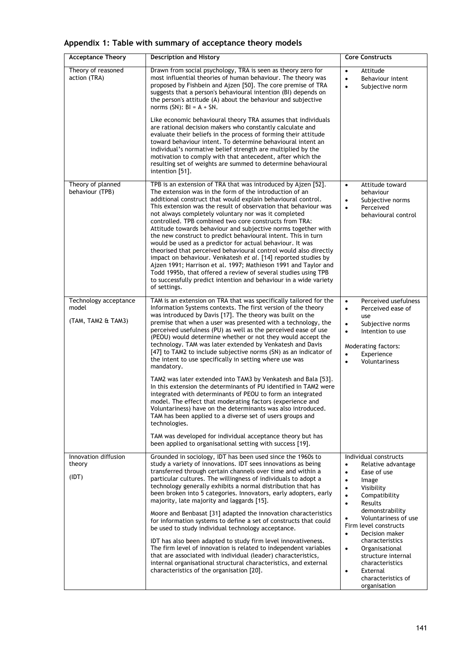|  | Appendix 1: Table with summary of acceptance theory models |  |  |  |
|--|------------------------------------------------------------|--|--|--|
|  |                                                            |  |  |  |

| <b>Acceptance Theory</b>                             | <b>Description and History</b>                                                                                                                                                                                                                                                                                                                                                                                                                                                                                                                                                                                                                                                                                                                                                                                                                                                                                                                                                                                                                                                                                                                       | <b>Core Constructs</b>                                                                                                                                                                                                                                                                                                                                                                                                                  |
|------------------------------------------------------|------------------------------------------------------------------------------------------------------------------------------------------------------------------------------------------------------------------------------------------------------------------------------------------------------------------------------------------------------------------------------------------------------------------------------------------------------------------------------------------------------------------------------------------------------------------------------------------------------------------------------------------------------------------------------------------------------------------------------------------------------------------------------------------------------------------------------------------------------------------------------------------------------------------------------------------------------------------------------------------------------------------------------------------------------------------------------------------------------------------------------------------------------|-----------------------------------------------------------------------------------------------------------------------------------------------------------------------------------------------------------------------------------------------------------------------------------------------------------------------------------------------------------------------------------------------------------------------------------------|
| Theory of reasoned<br>action (TRA)                   | Drawn from social psychology, TRA is seen as theory zero for<br>most influential theories of human behaviour. The theory was<br>proposed by Fishbein and Ajzen [50]. The core premise of TRA<br>suggests that a person's behavioural intention (BI) depends on<br>the person's attitude (A) about the behaviour and subjective<br>norms $(SN)$ : BI = A + SN.<br>Like economic behavioural theory TRA assumes that individuals<br>are rational decision makers who constantly calculate and<br>evaluate their beliefs in the process of forming their attitude<br>toward behaviour intent. To determine behavioural intent an<br>individual's normative belief strength are multiplied by the                                                                                                                                                                                                                                                                                                                                                                                                                                                        | Attitude<br>٠<br>$\bullet$<br>Behaviour intent<br>Subjective norm<br>$\bullet$                                                                                                                                                                                                                                                                                                                                                          |
|                                                      | motivation to comply with that antecedent, after which the<br>resulting set of weights are summed to determine behavioural<br>intention [51].                                                                                                                                                                                                                                                                                                                                                                                                                                                                                                                                                                                                                                                                                                                                                                                                                                                                                                                                                                                                        |                                                                                                                                                                                                                                                                                                                                                                                                                                         |
| Theory of planned<br>behaviour (TPB)                 | TPB is an extension of TRA that was introduced by Ajzen [52].<br>The extension was in the form of the introduction of an<br>additional construct that would explain behavioural control.<br>This extension was the result of observation that behaviour was<br>not always completely voluntary nor was it completed<br>controlled. TPB combined two core constructs from TRA:<br>Attitude towards behaviour and subjective norms together with<br>the new construct to predict behavioural intent. This in turn<br>would be used as a predictor for actual behaviour. It was<br>theorised that perceived behavioural control would also directly<br>impact on behaviour. Venkatesh et al. [14] reported studies by<br>Ajzen 1991; Harrison et al. 1997; Mathieson 1991 and Taylor and<br>Todd 1995b, that offered a review of several studies using TPB<br>to successfully predict intention and behaviour in a wide variety<br>of settings.                                                                                                                                                                                                         | Attitude toward<br>$\bullet$<br>behaviour<br>Subjective norms<br>Perceived<br>$\bullet$<br>behavioural control                                                                                                                                                                                                                                                                                                                          |
| Technology acceptance<br>model<br>(TAM, TAM2 & TAM3) | TAM is an extension on TRA that was specifically tailored for the<br>Information Systems contexts. The first version of the theory<br>was introduced by Davis [17]. The theory was built on the<br>premise that when a user was presented with a technology, the<br>perceived usefulness (PU) as well as the perceived ease of use<br>(PEOU) would determine whether or not they would accept the<br>technology. TAM was later extended by Venkatesh and Davis<br>[47] to TAM2 to include subjective norms (SN) as an indicator of<br>the intent to use specifically in setting where use was<br>mandatory.<br>TAM2 was later extended into TAM3 by Venkatesh and Bala [53].<br>In this extension the determinants of PU identified in TAM2 were<br>integrated with determinants of PEOU to form an integrated<br>model. The effect that moderating factors (experience and<br>Voluntariness) have on the determinants was also introduced.<br>TAM has been applied to a diverse set of users groups and<br>technologies.<br>TAM was developed for individual acceptance theory but has<br>been applied to organisational setting with success [19]. | Perceived usefulness<br>$\bullet$<br>Perceived ease of<br>٠<br>use<br>Subjective norms<br>$\bullet$<br>Intention to use<br>$\bullet$<br>Moderating factors:<br>Experience<br>$\bullet$<br>Voluntariness<br>$\bullet$                                                                                                                                                                                                                    |
| Innovation diffusion<br>theory<br>(IDT)              | Grounded in sociology, IDT has been used since the 1960s to<br>study a variety of innovations. IDT sees innovations as being<br>transferred through certain channels over time and within a<br>particular cultures. The willingness of individuals to adopt a<br>technology generally exhibits a normal distribution that has<br>been broken into 5 categories. Innovators, early adopters, early<br>majority, late majority and laggards [15].<br>Moore and Benbasat [31] adapted the innovation characteristics<br>for information systems to define a set of constructs that could<br>be used to study individual technology acceptance.<br>IDT has also been adapted to study firm level innovativeness.<br>The firm level of innovation is related to independent variables<br>that are associated with individual (leader) characteristics,<br>internal organisational structural characteristics, and external<br>characteristics of the organisation [20].                                                                                                                                                                                   | Individual constructs<br>Relative advantage<br>$\bullet$<br>Ease of use<br>$\bullet$<br>Image<br>٠<br>Visibility<br>$\bullet$<br>Compatibility<br>٠<br><b>Results</b><br>$\bullet$<br>demonstrability<br>Voluntariness of use<br>Firm level constructs<br>Decision maker<br>$\bullet$<br>characteristics<br>Organisational<br>۰<br>structure internal<br>characteristics<br>External<br>$\bullet$<br>characteristics of<br>organisation |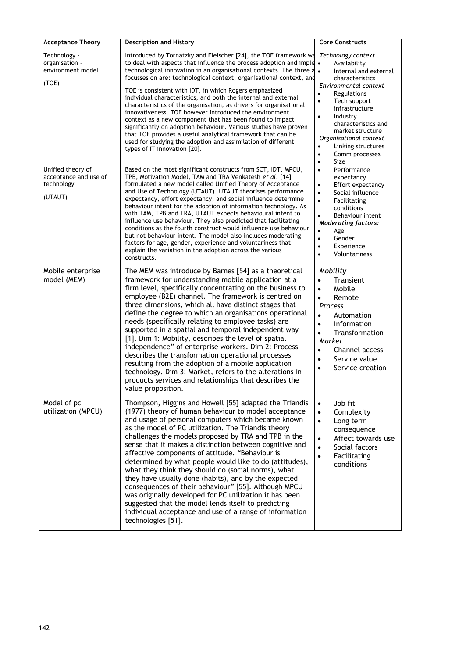| <b>Acceptance Theory</b>                                            | <b>Description and History</b>                                                                                                                                                                                                                                                                                                                                                                                                                                                                                                                                                                                                                                                                                                                                                                                                                              | <b>Core Constructs</b>                                                                                                                                                                                                                                                                                                                                                  |
|---------------------------------------------------------------------|-------------------------------------------------------------------------------------------------------------------------------------------------------------------------------------------------------------------------------------------------------------------------------------------------------------------------------------------------------------------------------------------------------------------------------------------------------------------------------------------------------------------------------------------------------------------------------------------------------------------------------------------------------------------------------------------------------------------------------------------------------------------------------------------------------------------------------------------------------------|-------------------------------------------------------------------------------------------------------------------------------------------------------------------------------------------------------------------------------------------------------------------------------------------------------------------------------------------------------------------------|
| Technology -<br>organisation -<br>environment model<br>(TOE)        | Introduced by Tornatzky and Fleischer [24], the TOE framework wa<br>to deal with aspects that influence the process adoption and imple •<br>technological innovation in an organisational contexts. The three a $\bullet$<br>focusses on are: technological context, organisational context, and<br>TOE is consistent with IDT, in which Rogers emphasized<br>individual characteristics, and both the internal and external<br>characteristics of the organisation, as drivers for organisational<br>innovativeness. TOE however introduced the environment<br>context as a new component that has been found to impact<br>significantly on adoption behaviour. Various studies have proven<br>that TOE provides a useful analytical framework that can be<br>used for studying the adoption and assimilation of different<br>types of IT innovation [20]. | Technology context<br>Availability<br>Internal and external<br>characteristics<br>Environmental context<br>$\bullet$<br>Regulations<br>Tech support<br>$\bullet$<br>infrastructure<br>Industry<br>$\bullet$<br>characteristics and<br>market structure<br>Organisational context<br>Linking structures<br>$\bullet$<br>$\bullet$<br>Comm processes<br>$\bullet$<br>Size |
| Unified theory of<br>acceptance and use of<br>technology<br>(UTAUT) | Based on the most significant constructs from SCT, IDT, MPCU,<br>TPB, Motivation Model, TAM and TRA Venkatesh et al. [14]<br>formulated a new model called Unified Theory of Acceptance<br>and Use of Technology (UTAUT). UTAUT theorises performance<br>expectancy, effort expectancy, and social influence determine<br>behaviour intent for the adoption of information technology. As<br>with TAM, TPB and TRA, UTAUT expects behavioural intent to<br>influence use behaviour. They also predicted that facilitating<br>conditions as the fourth construct would influence use behaviour<br>but not behaviour intent. The model also includes moderating<br>factors for age, gender, experience and voluntariness that<br>explain the variation in the adoption across the various<br>constructs.                                                      | Performance<br>$\bullet$<br>expectancy<br>Effort expectancy<br>$\bullet$<br>Social influence<br>$\bullet$<br>Facilitating<br>$\bullet$<br>conditions<br>Behaviour intent<br>$\bullet$<br><b>Moderating factors:</b><br>Age<br>٠<br>$\bullet$<br>Gender<br>Experience<br>$\bullet$<br>$\bullet$<br>Voluntariness                                                         |
| Mobile enterprise<br>model (MEM)                                    | The MEM was introduce by Barnes [54] as a theoretical<br>framework for understanding mobile application at a<br>firm level, specifically concentrating on the business to<br>employee (B2E) channel. The framework is centred on<br>three dimensions, which all have distinct stages that<br>define the degree to which an organisations operational<br>needs (specifically relating to employee tasks) are<br>supported in a spatial and temporal independent way<br>[1]. Dim 1: Mobility, describes the level of spatial<br>independence" of enterprise workers. Dim 2: Process<br>describes the transformation operational processes<br>resulting from the adoption of a mobile application<br>technology. Dim 3: Market, refers to the alterations in<br>products services and relationships that describes the<br>value proposition.                   | Mobility<br>Transient<br>$\bullet$<br>$\bullet$<br>Mobile<br>Remote<br>$\bullet$<br>Process<br>Automation<br>$\bullet$<br>Information<br>$\bullet$<br>Transformation<br>$\bullet$<br>Market<br>Channel access<br>$\bullet$<br>Service value<br>$\bullet$<br>Service creation<br>$\bullet$                                                                               |
| Model of pc<br>utilization (MPCU)                                   | Thompson, Higgins and Howell [55] adapted the Triandis<br>(1977) theory of human behaviour to model acceptance<br>and usage of personal computers which became known<br>as the model of PC utilization. The Triandis theory<br>challenges the models proposed by TRA and TPB in the<br>sense that it makes a distinction between cognitive and<br>affective components of attitude. "Behaviour is<br>determined by what people would like to do (attitudes),<br>what they think they should do (social norms), what<br>they have usually done (habits), and by the expected<br>consequences of their behaviour" [55]. Although MPCU<br>was originally developed for PC utilization it has been<br>suggested that the model lends itself to predicting<br>individual acceptance and use of a range of information<br>technologies [51].                      | Job fit<br>$\bullet$<br>Complexity<br>$\bullet$<br>Long term<br>$\bullet$<br>consequence<br>Affect towards use<br>$\bullet$<br>Social factors<br>$\bullet$<br>Facilitating<br>$\bullet$<br>conditions                                                                                                                                                                   |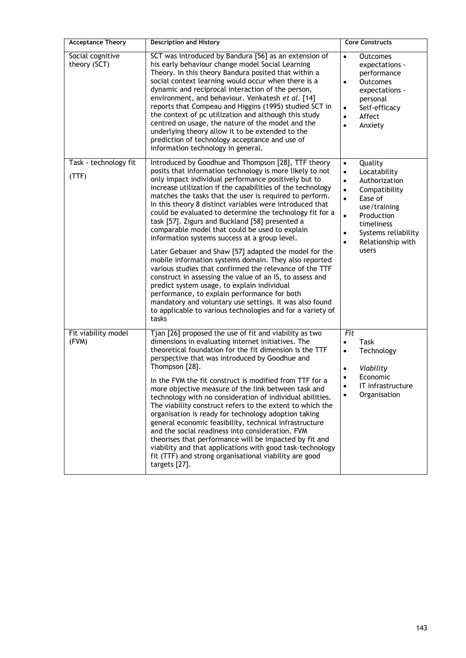| <b>Acceptance Theory</b>         | <b>Description and History</b>                                                                                                                                                                                                                                                                                                                                                                                                                                                                                                                                                                                                                                                                                                                                                                                                                                                                                                                                                                                                                           | <b>Core Constructs</b>                                                                                                                                                                                                                                                        |
|----------------------------------|----------------------------------------------------------------------------------------------------------------------------------------------------------------------------------------------------------------------------------------------------------------------------------------------------------------------------------------------------------------------------------------------------------------------------------------------------------------------------------------------------------------------------------------------------------------------------------------------------------------------------------------------------------------------------------------------------------------------------------------------------------------------------------------------------------------------------------------------------------------------------------------------------------------------------------------------------------------------------------------------------------------------------------------------------------|-------------------------------------------------------------------------------------------------------------------------------------------------------------------------------------------------------------------------------------------------------------------------------|
| Social cognitive<br>theory (SCT) | SCT was introduced by Bandura [56] as an extension of<br>his early behaviour change model Social Learning<br>Theory. In this theory Bandura posited that within a<br>social context learning would occur when there is a<br>dynamic and reciprocal interaction of the person,<br>environment, and behaviour. Venkatesh et al. [14]<br>reports that Compeau and Higgins (1995) studied SCT in<br>the context of pc utilization and although this study<br>centred on usage, the nature of the model and the<br>underlying theory allow it to be extended to the<br>prediction of technology acceptance and use of<br>information technology in general.                                                                                                                                                                                                                                                                                                                                                                                                   | $\bullet$<br><b>Outcomes</b><br>expectations -<br>performance<br>$\bullet$<br><b>Outcomes</b><br>expectations -<br>personal<br>Self-efficacv<br>$\bullet$<br>Affect<br>$\bullet$<br>Anxiety<br>$\bullet$                                                                      |
| Task - technology fit<br>(TTF)   | Introduced by Goodhue and Thompson [28], TTF theory<br>posits that information technology is more likely to not<br>only impact individual performance positively but to<br>increase utilization if the capabilities of the technology<br>matches the tasks that the user is required to perform.<br>In this theory 8 distinct variables were introduced that<br>could be evaluated to determine the technology fit for a<br>task [57]. Zigurs and Buckland [58] presented a<br>comparable model that could be used to explain<br>information systems success at a group level.<br>Later Gebauer and Shaw [57] adapted the model for the<br>mobile information systems domain. They also reported<br>various studies that confirmed the relevance of the TTF<br>construct in assessing the value of an IS, to assess and<br>predict system usage, to explain individual<br>performance, to explain performance for both<br>mandatory and voluntary use settings. It was also found<br>to applicable to various technologies and for a variety of<br>tasks | Quality<br>$\bullet$<br>Locatability<br>$\bullet$<br>Authorization<br>$\bullet$<br>$\bullet$<br>Compatibility<br>$\bullet$<br>Ease of<br>use/training<br>$\bullet$<br>Production<br>timeliness<br>Systems reliability<br>$\bullet$<br>Relationship with<br>$\bullet$<br>users |
| Fit viability model<br>(FVM)     | Tjan [26] proposed the use of fit and viability as two<br>dimensions in evaluating internet initiatives. The<br>theoretical foundation for the fit dimension is the TTF<br>perspective that was introduced by Goodhue and<br>Thompson [28].<br>In the FVM the fit construct is modified from TTF for a<br>more objective measure of the link between task and<br>technology with no consideration of individual abilities.<br>The viability construct refers to the extent to which the<br>organisation is ready for technology adoption taking<br>general economic feasibility, technical infrastructure<br>and the social readiness into consideration. FVM<br>theorises that performance will be impacted by fit and<br>viability and that applications with good task-technology<br>fit (TTF) and strong organisational viability are good<br>targets [27].                                                                                                                                                                                          | Fit<br>Task<br>$\bullet$<br>Technology<br>$\bullet$<br>Viability<br>$\bullet$<br>Economic<br>$\bullet$<br>IT infrastructure<br>$\bullet$<br>Organisation<br>$\bullet$                                                                                                         |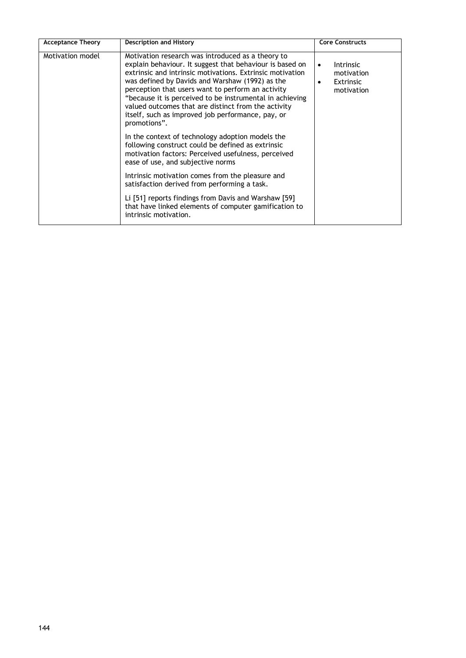| <b>Acceptance Theory</b> | <b>Description and History</b>                                                                                                                                                                                                                                                                                                                                                                                                                                             | <b>Core Constructs</b>                                                        |
|--------------------------|----------------------------------------------------------------------------------------------------------------------------------------------------------------------------------------------------------------------------------------------------------------------------------------------------------------------------------------------------------------------------------------------------------------------------------------------------------------------------|-------------------------------------------------------------------------------|
| Motivation model         | Motivation research was introduced as a theory to<br>explain behaviour. It suggest that behaviour is based on<br>extrinsic and intrinsic motivations. Extrinsic motivation<br>was defined by Davids and Warshaw (1992) as the<br>perception that users want to perform an activity<br>"because it is perceived to be instrumental in achieving<br>valued outcomes that are distinct from the activity<br>itself, such as improved job performance, pay, or<br>promotions". | <b>Intrinsic</b><br>$\bullet$<br>motivation<br><b>Extrinsic</b><br>motivation |
|                          | In the context of technology adoption models the<br>following construct could be defined as extrinsic<br>motivation factors: Perceived usefulness, perceived<br>ease of use, and subjective norms                                                                                                                                                                                                                                                                          |                                                                               |
|                          | Intrinsic motivation comes from the pleasure and<br>satisfaction derived from performing a task.                                                                                                                                                                                                                                                                                                                                                                           |                                                                               |
|                          | Li [51] reports findings from Davis and Warshaw [59]<br>that have linked elements of computer gamification to<br>intrinsic motivation.                                                                                                                                                                                                                                                                                                                                     |                                                                               |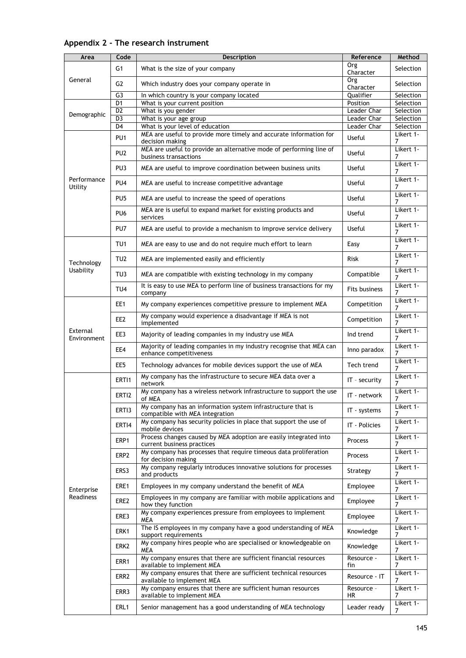| Area                    | Code                 | Description                                                                                     | Reference                  | Method                 |
|-------------------------|----------------------|-------------------------------------------------------------------------------------------------|----------------------------|------------------------|
|                         | G <sub>1</sub>       | What is the size of your company                                                                | <b>Org</b><br>Character    | Selection              |
| General                 | G2                   | Which industry does your company operate in                                                     | Org<br>Character           | Selection              |
|                         | G3                   | In which country is your company located                                                        | Qualifier                  | Selection              |
|                         | D <sub>1</sub>       | What is your current position                                                                   | Position                   | Selection              |
| Demographic             | D <sub>2</sub>       | What is you gender                                                                              | Leader Char                | Selection              |
|                         | D <sub>3</sub><br>D4 | What is your age group<br>What is your level of education                                       | Leader Char<br>Leader Char | Selection<br>Selection |
|                         |                      | MEA are useful to provide more timely and accurate information for                              |                            | Likert 1-              |
|                         | PU <sub>1</sub>      | decision making                                                                                 | Useful                     | 7                      |
|                         | PU <sub>2</sub>      | MEA are useful to provide an alternative mode of performing line of<br>business transactions    | Useful                     | Likert 1-<br>7         |
|                         | PU3                  | MEA are useful to improve coordination between business units                                   | Useful                     | Likert 1-<br>7         |
| Performance<br>Utility  | PU <sub>4</sub>      | MEA are useful to increase competitive advantage                                                | Useful                     | Likert 1-<br>7         |
|                         | PU <sub>5</sub>      | MEA are useful to increase the speed of operations                                              | Useful                     | Likert 1-<br>7         |
|                         | PU <sub>6</sub>      | MEA are is useful to expand market for existing products and<br>services                        | Useful                     | Likert 1-<br>7         |
|                         | PU7                  | MEA are useful to provide a mechanism to improve service delivery                               | Useful                     | Likert 1-<br>7         |
|                         | TU <sub>1</sub>      | MEA are easy to use and do not require much effort to learn                                     | Easy                       | Likert 1-<br>7         |
| Technology              | TU <sub>2</sub>      | MEA are implemented easily and efficiently                                                      | <b>Risk</b>                | Likert 1-<br>7         |
| Usability               | TU3                  | MEA are compatible with existing technology in my company                                       | Compatible                 | Likert 1-<br>7         |
|                         | TU <sub>4</sub>      | It is easy to use MEA to perform line of business transactions for my<br>company                | Fits business              | Likert 1-<br>7         |
|                         | EE1                  | My company experiences competitive pressure to implement MEA                                    | Competition                | Likert 1-<br>7         |
|                         | EE <sub>2</sub>      | My company would experience a disadvantage if MEA is not<br>implemented                         | Competition                | Likert 1-<br>7         |
| External<br>Environment | EE3                  | Majority of leading companies in my industry use MEA                                            | Ind trend                  | Likert 1-<br>7         |
|                         | EE4                  | Majority of leading companies in my industry recognise that MEA can<br>enhance competitiveness  | Inno paradox               | Likert 1-<br>7         |
|                         | EE5                  | Technology advances for mobile devices support the use of MEA                                   | Tech trend                 | Likert 1-<br>7         |
|                         | ERTI1                | My company has the infrastructure to secure MEA data over a<br>network                          | IT - security              | Likert 1-<br>7         |
|                         | ERTI2                | My company has a wireless network infrastructure to support the use<br>of MEA                   | IT - network               | Likert 1-<br>7         |
|                         | ERTI3                | My company has an information system infrastructure that is<br>compatible with MEA integration  | IT - systems               | Likert 1-<br>7         |
|                         | ERTI4                | My company has security policies in place that support the use of<br>mobile devices             | IT - Policies              | Likert 1-<br>7         |
|                         | ERP1                 | Process changes caused by MEA adoption are easily integrated into<br>current business practices | Process                    | Likert 1-<br>7         |
|                         | ERP2                 | My company has processes that require timeous data proliferation<br>for decision making         | Process                    | Likert 1-<br>7         |
|                         | ERS3                 | My company regularly introduces innovative solutions for processes<br>and products              | Strategy                   | Likert 1-<br>7         |
| Enterprise              | ERE1                 | Employees in my company understand the benefit of MEA                                           | Employee                   | Likert 1-<br>7         |
| <b>Readiness</b>        | ERE <sub>2</sub>     | Employees in my company are familiar with mobile applications and<br>how they function          | Employee                   | Likert 1-<br>7         |
|                         | ERE3                 | My company experiences pressure from employees to implement<br><b>MEA</b>                       | Employee                   | Likert 1-<br>7         |
|                         | ERK1                 | The IS employees in my company have a good understanding of MEA<br>support requirements         | Knowledge                  | Likert 1-<br>7         |
|                         | ERK2                 | My company hires people who are specialised or knowledgeable on<br><b>MEA</b>                   | Knowledge                  | Likert 1-<br>7         |
|                         | ERR1                 | My company ensures that there are sufficient financial resources<br>available to implement MEA  | Resource -<br>fin          | Likert 1-<br>7         |
|                         | ERR <sub>2</sub>     | My company ensures that there are sufficient technical resources<br>available to implement MEA  | Resource - IT              | Likert 1-<br>7         |
|                         | ERR3                 | My company ensures that there are sufficient human resources<br>available to implement MEA      | Resource -<br>HR           | Likert 1-<br>7         |
|                         | ERL1                 | Senior management has a good understanding of MEA technology                                    | Leader ready               | Likert 1-<br>7         |

# **Appendix 2 - The research instrument**